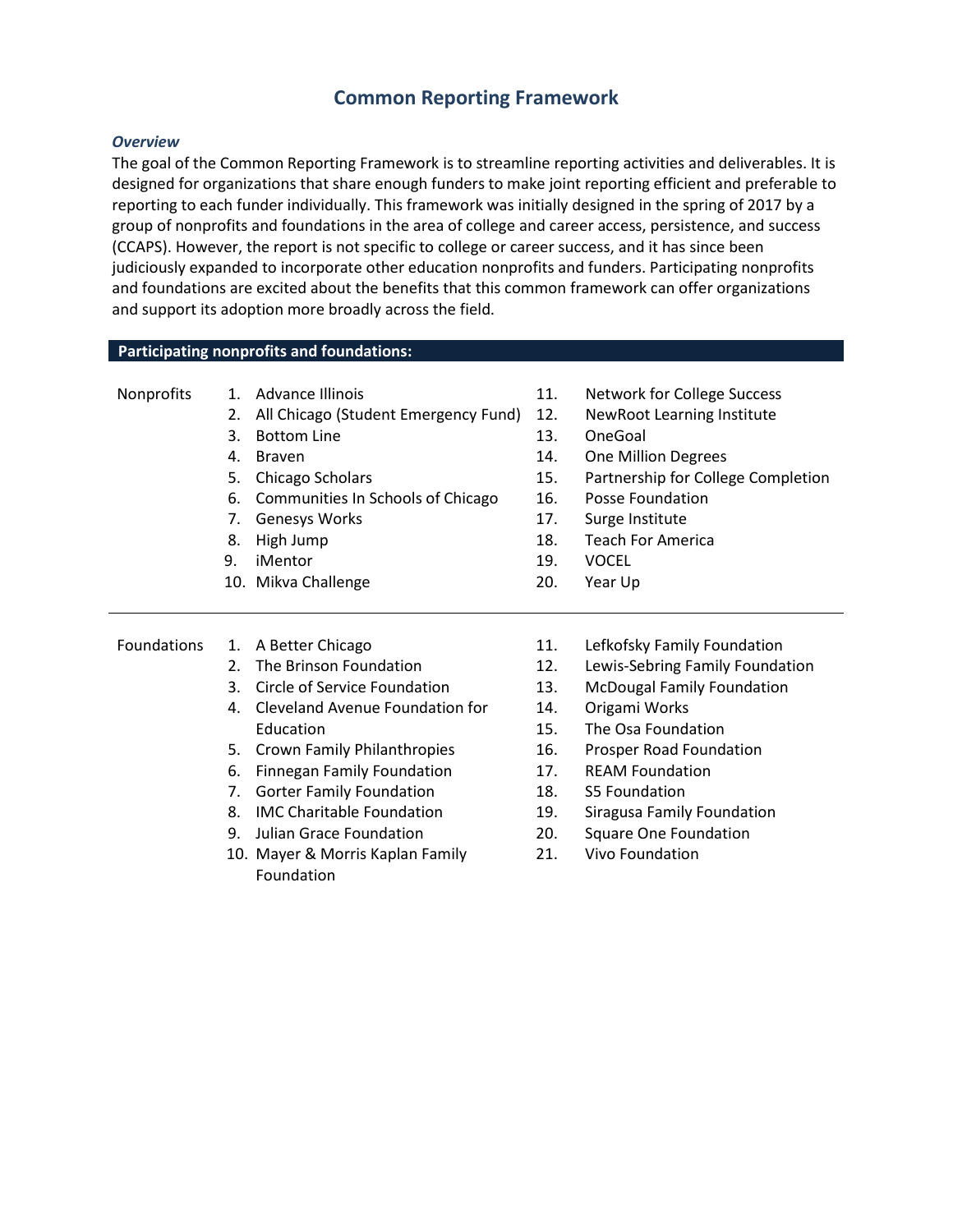# **Common Reporting Framework**

#### *Overview*

The goal of the Common Reporting Framework is to streamline reporting activities and deliverables. It is designed for organizations that share enough funders to make joint reporting efficient and preferable to reporting to each funder individually. This framework was initially designed in the spring of 2017 by a group of nonprofits and foundations in the area of college and career access, persistence, and success (CCAPS). However, the report is not specific to college or career success, and it has since been judiciously expanded to incorporate other education nonprofits and funders. Participating nonprofits and foundations are excited about the benefits that this common framework can offer organizations and support its adoption more broadly across the field.

#### **Participating nonprofits and foundations:**

| Nonprofits |                                        | Advance Illinois                                                                                                                             | 11.                                           | <b>Network for College Success</b>                                                                                                                             |                    |    |                              |     |                                   |
|------------|----------------------------------------|----------------------------------------------------------------------------------------------------------------------------------------------|-----------------------------------------------|----------------------------------------------------------------------------------------------------------------------------------------------------------------|--------------------|----|------------------------------|-----|-----------------------------------|
|            | 2.                                     | All Chicago (Student Emergency Fund)                                                                                                         | 12.                                           | <b>NewRoot Learning Institute</b>                                                                                                                              |                    |    |                              |     |                                   |
|            | 3.<br>4.<br>5.<br>6.<br>7.<br>8.<br>9. | <b>Bottom Line</b><br><b>Braven</b><br>Chicago Scholars<br>Communities In Schools of Chicago<br><b>Genesys Works</b><br>High Jump<br>iMentor | 13.<br>14.<br>15.<br>16.<br>17.<br>18.<br>19. | OneGoal<br><b>One Million Degrees</b><br>Partnership for College Completion<br>Posse Foundation<br>Surge Institute<br><b>Teach For America</b><br><b>VOCEL</b> |                    |    |                              |     |                                   |
|            |                                        |                                                                                                                                              |                                               |                                                                                                                                                                |                    |    | 10. Mikva Challenge          | 20. | Year Up                           |
|            |                                        |                                                                                                                                              |                                               |                                                                                                                                                                |                    |    |                              |     |                                   |
|            |                                        |                                                                                                                                              |                                               |                                                                                                                                                                | <b>Foundations</b> | 1. | A Better Chicago             | 11. | Lefkofsky Family Foundation       |
|            |                                        |                                                                                                                                              |                                               |                                                                                                                                                                |                    | 2. | The Brinson Foundation       | 12. | Lewis-Sebring Family Foundation   |
|            |                                        |                                                                                                                                              |                                               |                                                                                                                                                                |                    | 3. | Circle of Service Foundation | 13. | <b>McDougal Family Foundation</b> |

- 4. Cleveland Avenue Foundation for Education
- 5. Crown Family Philanthropies
- 6. Finnegan Family Foundation
- 7. Gorter Family Foundation
- 8. IMC Charitable Foundation
- 9. Julian Grace Foundation
- 10. Mayer & Morris Kaplan Family Foundation
- **Foundation**
- mily Foundation
- 13. McDougal Family Foundation
- 14. Origami Works
- 15. The Osa Foundation
- 16. Prosper Road Foundation
- 17. REAM Foundation
- 18. S5 Foundation
- 19. Siragusa Family Foundation
- 20. Square One Foundation
- 21. Vivo Foundation